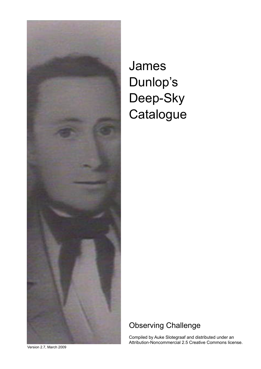

## James Dunlop's Deep-Sky **Catalogue**

## Observing Challenge

Compiled by Auke Slotegraaf and distributed under an Attribution-Noncommercial 2.5 Creative Commons license.

Version 2.7, March 2009